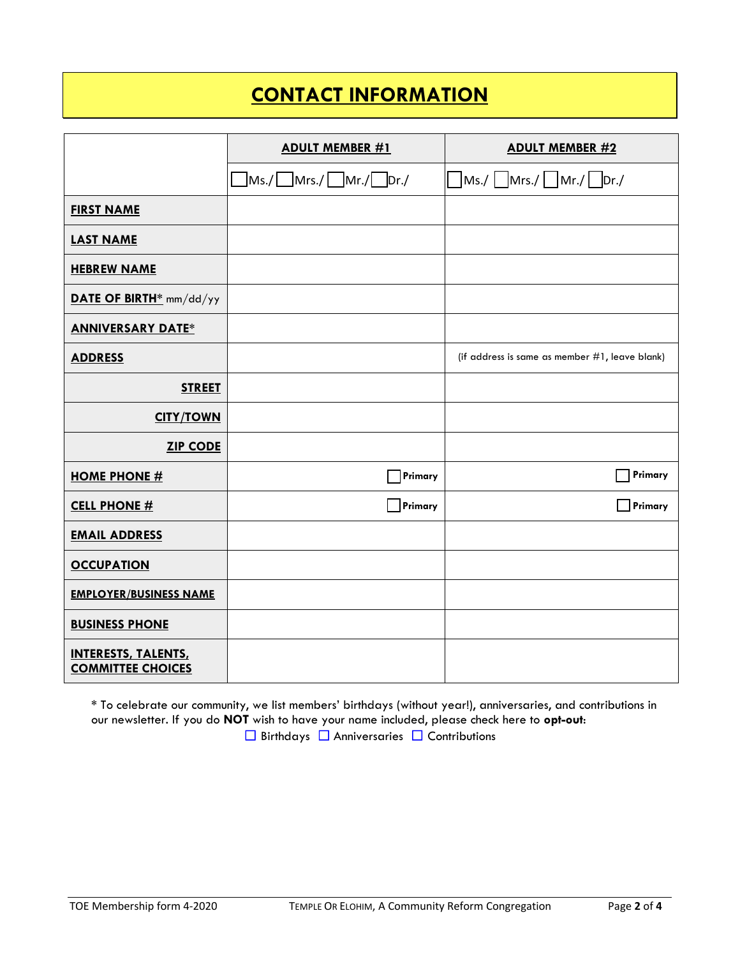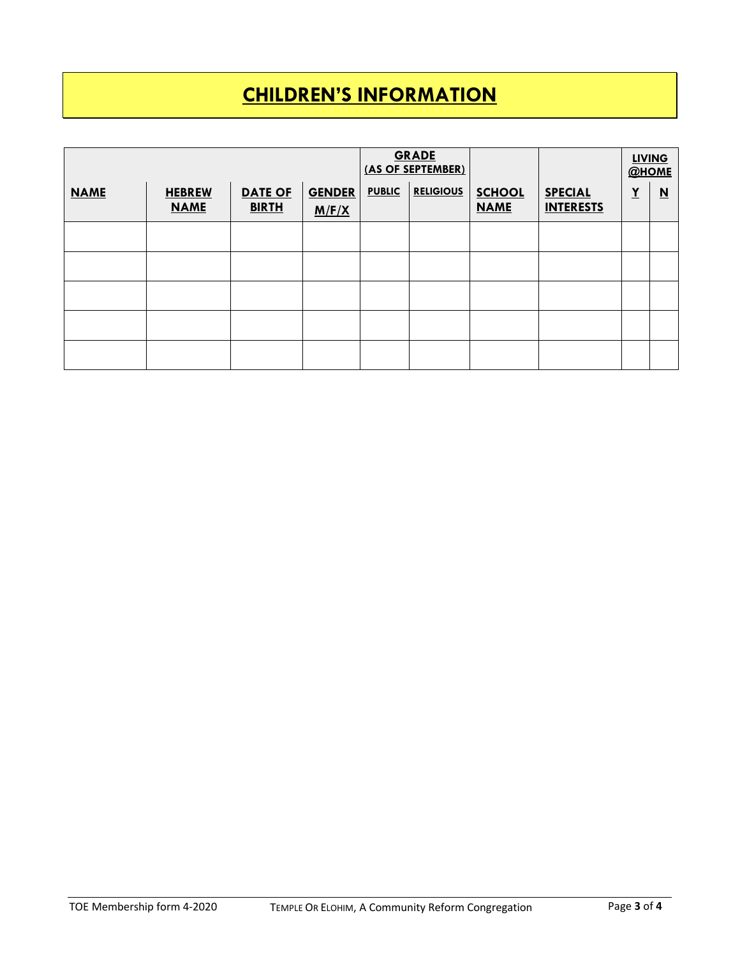## **CHILDREN'S INFORMATION**

|             |                              |                                | <b>GRADE</b><br>(AS OF SEPTEMBER) |               |                  |                              | <b>LIVING</b><br>@HOME             |          |                          |
|-------------|------------------------------|--------------------------------|-----------------------------------|---------------|------------------|------------------------------|------------------------------------|----------|--------------------------|
| <b>NAME</b> | <b>HEBREW</b><br><b>NAME</b> | <b>DATE OF</b><br><b>BIRTH</b> | <b>GENDER</b><br>M/F/X            | <b>PUBLIC</b> | <b>RELIGIOUS</b> | <b>SCHOOL</b><br><b>NAME</b> | <b>SPECIAL</b><br><b>INTERESTS</b> | <u>Y</u> | $\underline{\mathbf{N}}$ |
|             |                              |                                |                                   |               |                  |                              |                                    |          |                          |
|             |                              |                                |                                   |               |                  |                              |                                    |          |                          |
|             |                              |                                |                                   |               |                  |                              |                                    |          |                          |
|             |                              |                                |                                   |               |                  |                              |                                    |          |                          |
|             |                              |                                |                                   |               |                  |                              |                                    |          |                          |